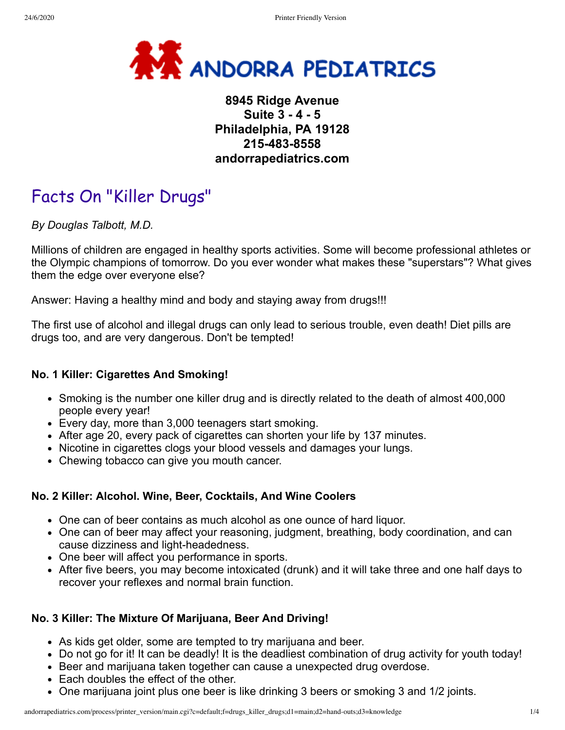

## **8945 Ridge Avenue Suite 3 - 4 - 5 Philadelphia, PA 19128 215-483-8558 andorrapediatrics.com**

# Facts On "Killer Drugs"

*By Douglas Talbott, M.D.*

Millions of children are engaged in healthy sports activities. Some will become professional athletes or the Olympic champions of tomorrow. Do you ever wonder what makes these "superstars"? What gives them the edge over everyone else?

Answer: Having a healthy mind and body and staying away from drugs!!!

The first use of alcohol and illegal drugs can only lead to serious trouble, even death! Diet pills are drugs too, and are very dangerous. Don't be tempted!

## **No. 1 Killer: Cigarettes And Smoking!**

- Smoking is the number one killer drug and is directly related to the death of almost 400,000 people every year!
- Every day, more than 3,000 teenagers start smoking.
- After age 20, every pack of cigarettes can shorten your life by 137 minutes.
- Nicotine in cigarettes clogs your blood vessels and damages your lungs.
- Chewing tobacco can give you mouth cancer.

## **No. 2 Killer: Alcohol. Wine, Beer, Cocktails, And Wine Coolers**

- One can of beer contains as much alcohol as one ounce of hard liquor.
- One can of beer may affect your reasoning, judgment, breathing, body coordination, and can cause dizziness and light-headedness.
- One beer will affect you performance in sports.
- After five beers, you may become intoxicated (drunk) and it will take three and one half days to recover your reflexes and normal brain function.

## **No. 3 Killer: The Mixture Of Marijuana, Beer And Driving!**

- As kids get older, some are tempted to try marijuana and beer.
- Do not go for it! It can be deadly! It is the deadliest combination of drug activity for youth today!
- Beer and marijuana taken together can cause a unexpected drug overdose.
- Each doubles the effect of the other.
- One marijuana joint plus one beer is like drinking 3 beers or smoking 3 and 1/2 joints.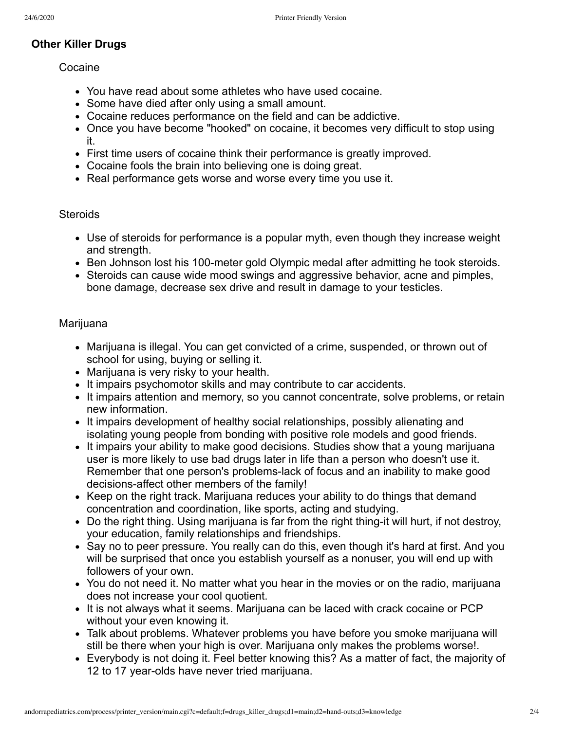## **Other Killer Drugs**

#### Cocaine

- You have read about some athletes who have used cocaine.
- Some have died after only using a small amount.
- Cocaine reduces performance on the field and can be addictive.
- Once you have become "hooked" on cocaine, it becomes very difficult to stop using it.
- First time users of cocaine think their performance is greatly improved.
- Cocaine fools the brain into believing one is doing great.
- Real performance gets worse and worse every time you use it.

## **Steroids**

- Use of steroids for performance is a popular myth, even though they increase weight and strength.
- Ben Johnson lost his 100-meter gold Olympic medal after admitting he took steroids.
- Steroids can cause wide mood swings and aggressive behavior, acne and pimples, bone damage, decrease sex drive and result in damage to your testicles.

## Marijuana

- Marijuana is illegal. You can get convicted of a crime, suspended, or thrown out of school for using, buying or selling it.
- Marijuana is very risky to your health.
- It impairs psychomotor skills and may contribute to car accidents.
- It impairs attention and memory, so you cannot concentrate, solve problems, or retain new information.
- It impairs development of healthy social relationships, possibly alienating and isolating young people from bonding with positive role models and good friends.
- It impairs your ability to make good decisions. Studies show that a young marijuana user is more likely to use bad drugs later in life than a person who doesn't use it. Remember that one person's problems-lack of focus and an inability to make good decisions-affect other members of the family!
- Keep on the right track. Marijuana reduces your ability to do things that demand concentration and coordination, like sports, acting and studying.
- Do the right thing. Using marijuana is far from the right thing-it will hurt, if not destroy, your education, family relationships and friendships.
- Say no to peer pressure. You really can do this, even though it's hard at first. And you will be surprised that once you establish yourself as a nonuser, you will end up with followers of your own.
- You do not need it. No matter what you hear in the movies or on the radio, marijuana does not increase your cool quotient.
- It is not always what it seems. Marijuana can be laced with crack cocaine or PCP without your even knowing it.
- Talk about problems. Whatever problems you have before you smoke marijuana will still be there when your high is over. Marijuana only makes the problems worse!.
- Everybody is not doing it. Feel better knowing this? As a matter of fact, the majority of 12 to 17 year-olds have never tried marijuana.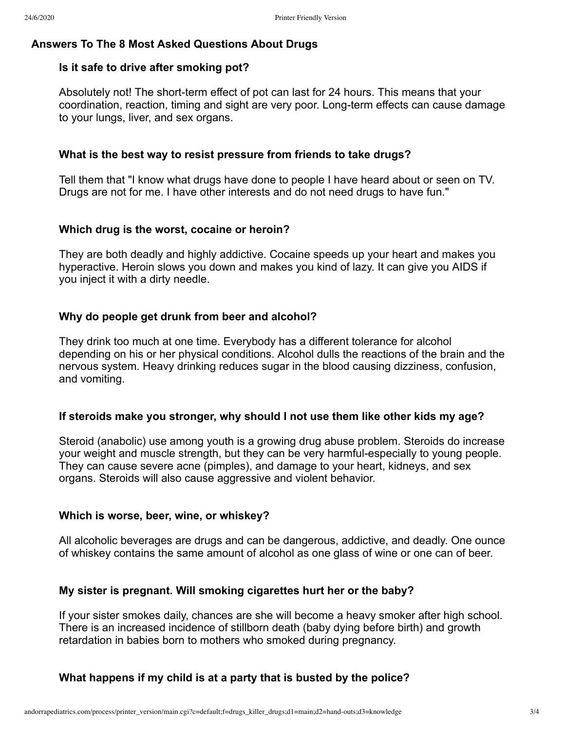#### **Answers To The 8 Most Asked Questions About Drugs**

#### **Is it safe to drive after smoking pot?**

Absolutely not! The short-term effect of pot can last for 24 hours. This means that your coordination, reaction, timing and sight are very poor. Long-term effects can cause damage to your lungs, liver, and sex organs.

#### **What is the best way to resist pressure from friends to take drugs?**

Tell them that "I know what drugs have done to people I have heard about or seen on TV. Drugs are not for me. I have other interests and do not need drugs to have fun."

#### **Which drug is the worst, cocaine or heroin?**

They are both deadly and highly addictive. Cocaine speeds up your heart and makes you hyperactive. Heroin slows you down and makes you kind of lazy. It can give you AIDS if you inject it with a dirty needle.

## **Why do people get drunk from beer and alcohol?**

They drink too much at one time. Everybody has a different tolerance for alcohol depending on his or her physical conditions. Alcohol dulls the reactions of the brain and the nervous system. Heavy drinking reduces sugar in the blood causing dizziness, confusion, and vomiting.

#### **If steroids make you stronger, why should I not use them like other kids my age?**

Steroid (anabolic) use among youth is a growing drug abuse problem. Steroids do increase your weight and muscle strength, but they can be very harmful-especially to young people. They can cause severe acne (pimples), and damage to your heart, kidneys, and sex organs. Steroids will also cause aggressive and violent behavior.

#### **Which is worse, beer, wine, or whiskey?**

All alcoholic beverages are drugs and can be dangerous, addictive, and deadly. One ounce of whiskey contains the same amount of alcohol as one glass of wine or one can of beer.

#### **My sister is pregnant. Will smoking cigarettes hurt her or the baby?**

If your sister smokes daily, chances are she will become a heavy smoker after high school. There is an increased incidence of stillborn death (baby dying before birth) and growth retardation in babies born to mothers who smoked during pregnancy.

## **What happens if my child is at a party that is busted by the police?**